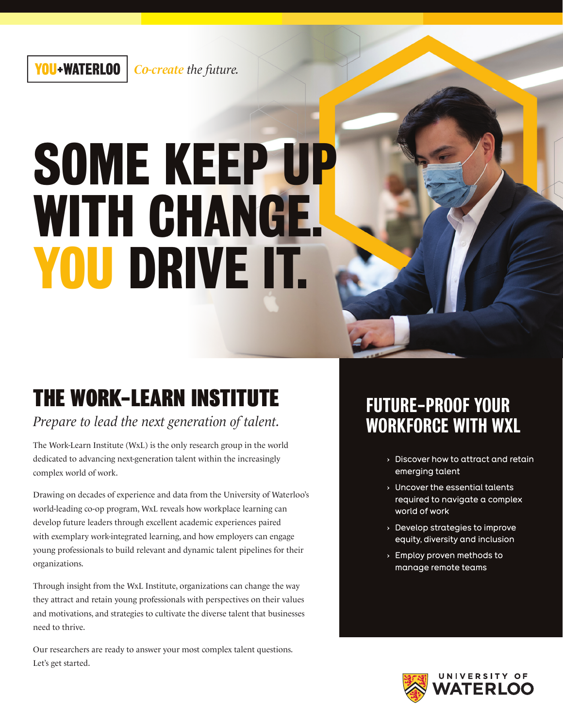# **SOME KEEP UP WITH CHANGE. YOU DRIVE IT.**

## THE WORK-LEARN INSTITUTE

*Prepare to lead the next generation of talent.*

The Work-Learn Institute (WxL) is the only research group in the world dedicated to advancing next-generation talent within the increasingly complex world of work.

Drawing on decades of experience and data from the University of Waterloo's world-leading co-op program, WxL reveals how workplace learning can develop future leaders through excellent academic experiences paired with exemplary work-integrated learning, and how employers can engage young professionals to build relevant and dynamic talent pipelines for their organizations.

Through insight from the WxL Institute, organizations can change the way they attract and retain young professionals with perspectives on their values and motivations, and strategies to cultivate the diverse talent that businesses need to thrive.

Our researchers are ready to answer your most complex talent questions. Let's get started.

### FUTURE-PROOF YOUR WORKFORCE WITH WXL

- **›** Discover how to attract and retain emerging talent
- **›** Uncover the essential talents required to navigate a complex world of work
- **›** Develop strategies to improve equity, diversity and inclusion
- **›** Employ proven methods to manage remote teams